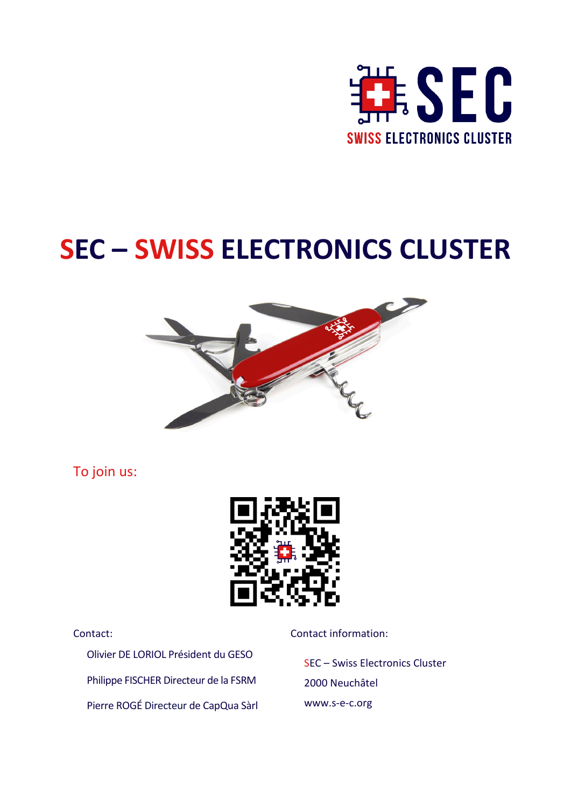

# **SEC – SWISS ELECTRONICS CLUSTER**



To join us:



Olivier DE LORIOL Président du GESO Philippe FISCHER Directeur de la FSRM Pierre ROGÉ Directeur de CapQua Sàrl

Contact: Contact information:

SEC – Swiss Electronics Cluster 2000 Neuchâtel www.s-e-c.org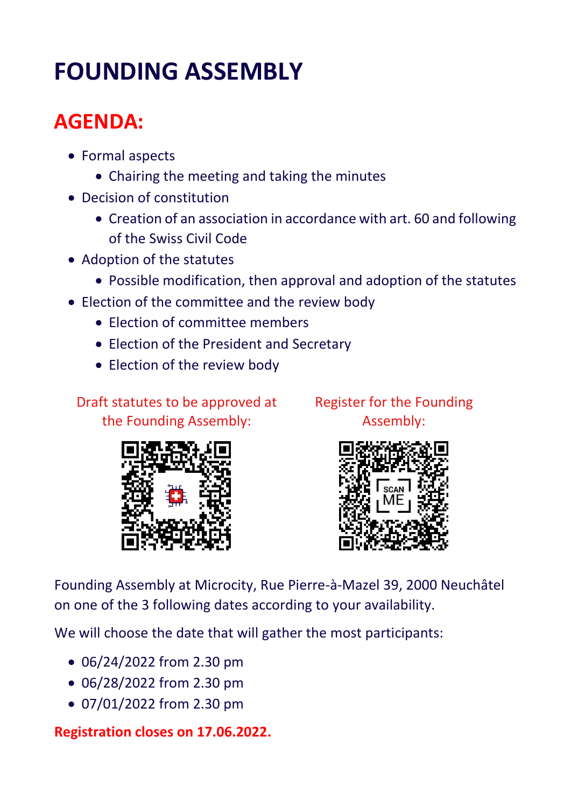# **FOUNDING ASSEMBLY**

## **AGENDA:**

- Formal aspects
	- Chairing the meeting and taking the minutes
- Decision of constitution
	- Creation of an association in accordance with art. 60 and following of the Swiss Civil Code
- Adoption of the statutes
	- Possible modification, then approval and adoption of the statutes
- Election of the committee and the review body
	- Election of committee members
	- Election of the President and Secretary
	- Election of the review body

Draft statutes to be approved at the Founding Assembly:



Register for the Founding Assembly:



Founding Assembly at Microcity, Rue Pierre-à-Mazel 39, 2000 Neuchâtel on one of the 3 following dates according to your availability.

We will choose the date that will gather the most participants:

- 06/24/2022 from 2.30 pm
- 06/28/2022 from 2.30 pm
- 07/01/2022 from 2.30 pm

**Registration closes on 17.06.2022.**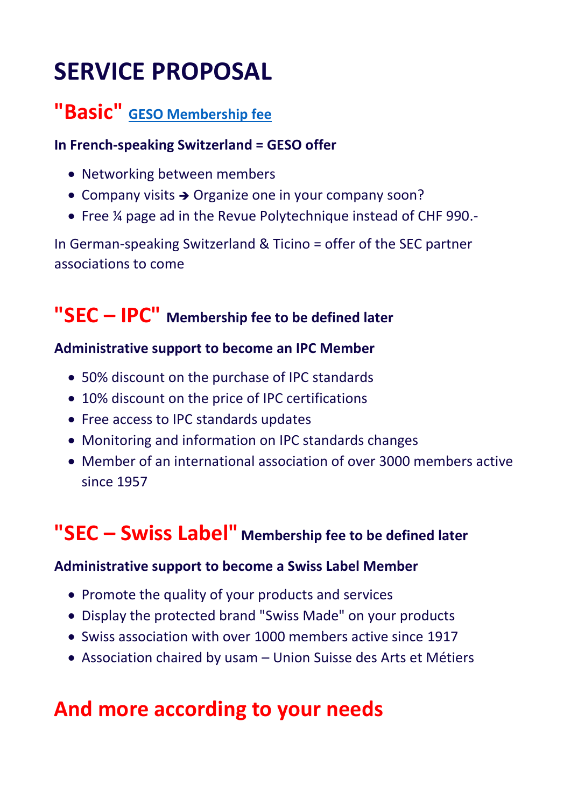# **SERVICE PROPOSAL**

### **"Basic" [GESO Membership fee](https://www.geso.ch/adhesion/)**

#### **In French-speaking Switzerland = GESO offer**

- Networking between members
- Company visits  $\rightarrow$  Organize one in your company soon?
- Free ¼ page ad in the Revue Polytechnique instead of CHF 990.-

In German-speaking Switzerland & Ticino = offer of the SEC partner associations to come

### **"SEC – IPC" Membership fee to be defined later**

#### **Administrative support to become an IPC Member**

- 50% discount on the purchase of IPC standards
- 10% discount on the price of IPC certifications
- Free access to IPC standards updates
- Monitoring and information on IPC standards changes
- Member of an international association of over 3000 members active since 1957

## **"SEC – Swiss Label" Membership fee to be defined later**

#### **Administrative support to become a Swiss Label Member**

- Promote the quality of your products and services
- Display the protected brand "Swiss Made" on your products
- Swiss association with over 1000 members active since 1917
- Association chaired by usam Union Suisse des Arts et Métiers

### **And more according to your needs**